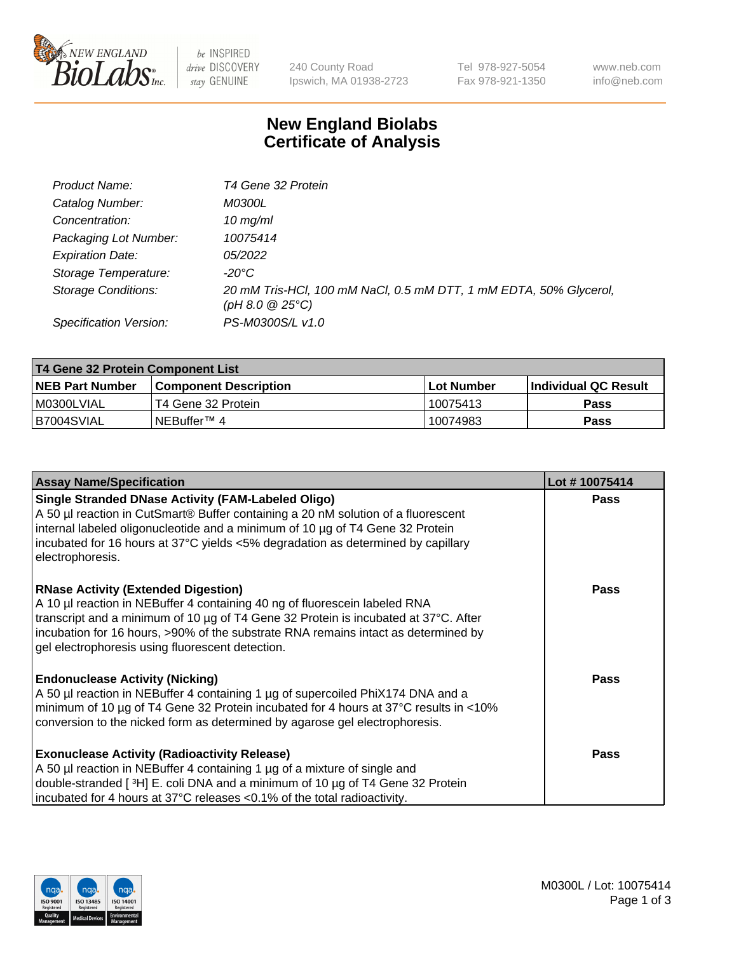

 $be$  INSPIRED drive DISCOVERY stay GENUINE

240 County Road Ipswich, MA 01938-2723 Tel 978-927-5054 Fax 978-921-1350 www.neb.com info@neb.com

## **New England Biolabs Certificate of Analysis**

| Product Name:              | T4 Gene 32 Protein                                                                              |
|----------------------------|-------------------------------------------------------------------------------------------------|
| Catalog Number:            | <i>M0300L</i>                                                                                   |
| Concentration:             | $10 \, \text{mg/ml}$                                                                            |
| Packaging Lot Number:      | 10075414                                                                                        |
| <b>Expiration Date:</b>    | <i>05/2022</i>                                                                                  |
| Storage Temperature:       | $-20^{\circ}$ C                                                                                 |
| <b>Storage Conditions:</b> | 20 mM Tris-HCl, 100 mM NaCl, 0.5 mM DTT, 1 mM EDTA, 50% Glycerol,<br>$(pH 8.0 \ @ 25^{\circ}C)$ |
| Specification Version:     | PS-M0300S/L v1.0                                                                                |

| T4 Gene 32 Protein Component List |                              |             |                       |  |  |
|-----------------------------------|------------------------------|-------------|-----------------------|--|--|
| <b>NEB Part Number</b>            | <b>Component Description</b> | ⊺Lot Number | ∣Individual QC Result |  |  |
| I M0300LVIAL                      | T4 Gene 32 Protein           | 10075413    | <b>Pass</b>           |  |  |
| B7004SVIAL                        | INEBuffer™ 4                 | 10074983    | Pass                  |  |  |

| <b>Assay Name/Specification</b>                                                                                                                                                                                                                                                                                                                           | Lot #10075414 |
|-----------------------------------------------------------------------------------------------------------------------------------------------------------------------------------------------------------------------------------------------------------------------------------------------------------------------------------------------------------|---------------|
| <b>Single Stranded DNase Activity (FAM-Labeled Oligo)</b><br>A 50 µl reaction in CutSmart® Buffer containing a 20 nM solution of a fluorescent<br>internal labeled oligonucleotide and a minimum of 10 µg of T4 Gene 32 Protein<br>incubated for 16 hours at 37°C yields <5% degradation as determined by capillary<br>electrophoresis.                   | <b>Pass</b>   |
| <b>RNase Activity (Extended Digestion)</b><br>A 10 µl reaction in NEBuffer 4 containing 40 ng of fluorescein labeled RNA<br>transcript and a minimum of 10 µg of T4 Gene 32 Protein is incubated at 37°C. After<br>incubation for 16 hours, >90% of the substrate RNA remains intact as determined by<br>gel electrophoresis using fluorescent detection. | <b>Pass</b>   |
| <b>Endonuclease Activity (Nicking)</b><br>A 50 µl reaction in NEBuffer 4 containing 1 µg of supercoiled PhiX174 DNA and a<br>minimum of 10 µg of T4 Gene 32 Protein incubated for 4 hours at 37°C results in <10%<br>conversion to the nicked form as determined by agarose gel electrophoresis.                                                          | Pass          |
| <b>Exonuclease Activity (Radioactivity Release)</b><br>A 50 µl reaction in NEBuffer 4 containing 1 µg of a mixture of single and<br>double-stranded [3H] E. coli DNA and a minimum of 10 µg of T4 Gene 32 Protein<br>incubated for 4 hours at 37°C releases <0.1% of the total radioactivity.                                                             | <b>Pass</b>   |

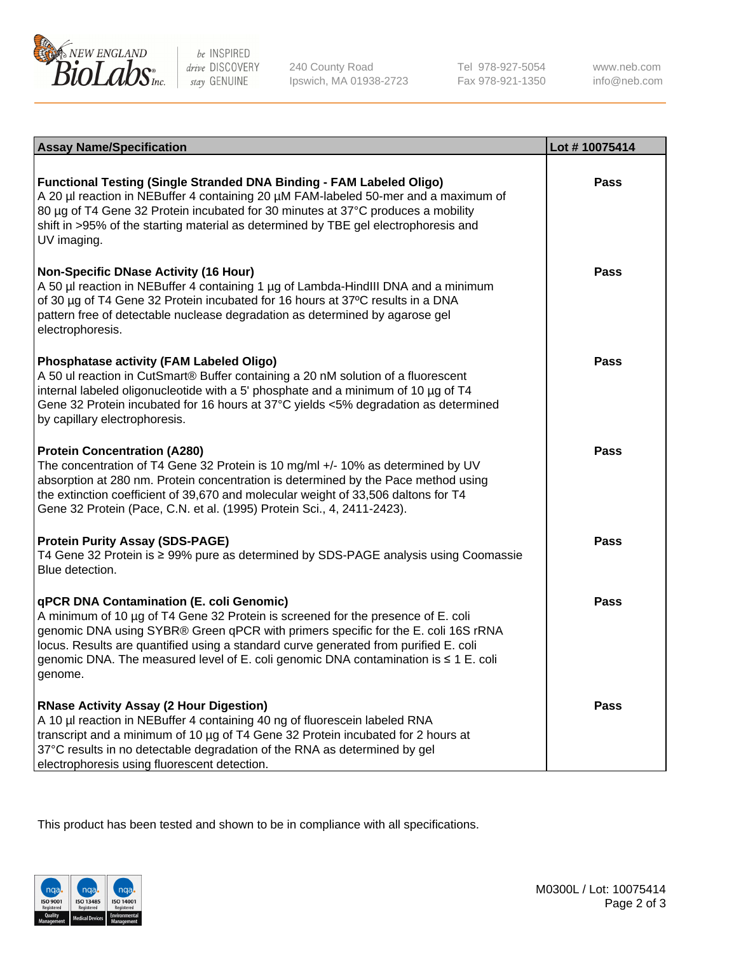

be INSPIRED drive DISCOVERY stay GENUINE

240 County Road Ipswich, MA 01938-2723 Tel 978-927-5054 Fax 978-921-1350 www.neb.com info@neb.com

| <b>Assay Name/Specification</b>                                                                                                                                                                                                                                                                                                                                                                             | Lot #10075414 |
|-------------------------------------------------------------------------------------------------------------------------------------------------------------------------------------------------------------------------------------------------------------------------------------------------------------------------------------------------------------------------------------------------------------|---------------|
| Functional Testing (Single Stranded DNA Binding - FAM Labeled Oligo)<br>A 20 µl reaction in NEBuffer 4 containing 20 µM FAM-labeled 50-mer and a maximum of<br>80 µg of T4 Gene 32 Protein incubated for 30 minutes at 37°C produces a mobility<br>shift in >95% of the starting material as determined by TBE gel electrophoresis and<br>UV imaging.                                                       | <b>Pass</b>   |
| <b>Non-Specific DNase Activity (16 Hour)</b><br>A 50 µl reaction in NEBuffer 4 containing 1 µg of Lambda-HindIII DNA and a minimum<br>of 30 µg of T4 Gene 32 Protein incubated for 16 hours at 37°C results in a DNA<br>pattern free of detectable nuclease degradation as determined by agarose gel<br>electrophoresis.                                                                                    | Pass          |
| <b>Phosphatase activity (FAM Labeled Oligo)</b><br>A 50 ul reaction in CutSmart® Buffer containing a 20 nM solution of a fluorescent<br>internal labeled oligonucleotide with a 5' phosphate and a minimum of 10 µg of T4<br>Gene 32 Protein incubated for 16 hours at 37°C yields <5% degradation as determined<br>by capillary electrophoresis.                                                           | Pass          |
| <b>Protein Concentration (A280)</b><br>The concentration of T4 Gene 32 Protein is 10 mg/ml +/- 10% as determined by UV<br>absorption at 280 nm. Protein concentration is determined by the Pace method using<br>the extinction coefficient of 39,670 and molecular weight of 33,506 daltons for T4<br>Gene 32 Protein (Pace, C.N. et al. (1995) Protein Sci., 4, 2411-2423).                                | Pass          |
| <b>Protein Purity Assay (SDS-PAGE)</b><br>T4 Gene 32 Protein is ≥ 99% pure as determined by SDS-PAGE analysis using Coomassie<br>Blue detection.                                                                                                                                                                                                                                                            | Pass          |
| qPCR DNA Contamination (E. coli Genomic)<br>A minimum of 10 µg of T4 Gene 32 Protein is screened for the presence of E. coli<br>genomic DNA using SYBR® Green qPCR with primers specific for the E. coli 16S rRNA<br>locus. Results are quantified using a standard curve generated from purified E. coli<br>genomic DNA. The measured level of E. coli genomic DNA contamination is ≤ 1 E. coli<br>genome. | Pass          |
| <b>RNase Activity Assay (2 Hour Digestion)</b><br>A 10 µl reaction in NEBuffer 4 containing 40 ng of fluorescein labeled RNA<br>transcript and a minimum of 10 µg of T4 Gene 32 Protein incubated for 2 hours at<br>37°C results in no detectable degradation of the RNA as determined by gel<br>electrophoresis using fluorescent detection.                                                               | Pass          |

This product has been tested and shown to be in compliance with all specifications.